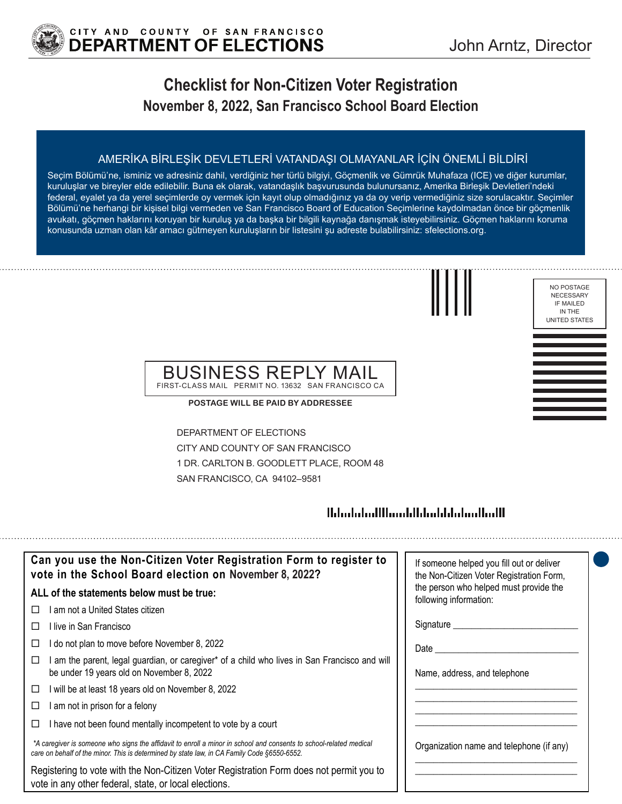

## **Checklist for Non-Citizen Voter Registration November 8, 2022, San Francisco School Board Election**

### AMERİKA BİRLEŞİK DEVLETLERİ VATANDAŞI OLMAYANLAR İÇİN ÖNEMLİ BİLDİRİ

Seçim Bölümü'ne, isminiz ve adresiniz dahil, verdiğiniz her türlü bilgiyi, Göçmenlik ve Gümrük Muhafaza (ICE) ve diğer kurumlar, kuruluşlar ve bireyler elde edilebilir. Buna ek olarak, vatandaşlık başvurusunda bulunursanız, Amerika Birleşik Devletleri'ndeki federal, eyalet ya da yerel seçimlerde oy vermek için kayıt olup olmadığınız ya da oy verip vermediğiniz size sorulacaktır. Seçimler Bölümü'ne herhangi bir kişisel bilgi vermeden ve San Francisco Board of Education Seçimlerine kaydolmadan önce bir göçmenlik avukatı, göçmen haklarını koruyan bir kuruluş ya da başka bir bilgili kaynağa danışmak isteyebilirsiniz. Göçmen haklarını koruma konusunda uzman olan kâr amacı gütmeyen kuruluşların bir listesini şu adreste bulabilirsiniz: sfelections.org.



NO POSTAGE NECESSARY IF MAILED IN THE UNITED STATES

### BUSINESS REPLY MAIL FIRST-CLASS MAIL PERMIT NO. 13632 SAN FRANCISCO CA

**POSTAGE WILL BE PAID BY ADDRESSEE**

DEPARTMENT OF ELECTIONS CITY AND COUNTY OF SAN FRANCISCO 1 DR. CARLTON B. GOODLETT PLACE, ROOM 48 SAN FRANCISCO, CA 94102–9581

## 

| Can you use the Non-Citizen Voter Registration Form to register to<br>vote in the School Board election on November 8, 2022?                                                                                      | If someone helped you fill out or deliver<br>the Non-Citizen Voter Registration Form, |
|-------------------------------------------------------------------------------------------------------------------------------------------------------------------------------------------------------------------|---------------------------------------------------------------------------------------|
| ALL of the statements below must be true:                                                                                                                                                                         | the person who helped must provide the<br>following information:                      |
| am not a United States citizen                                                                                                                                                                                    |                                                                                       |
| ⊟live in San Francisco                                                                                                                                                                                            | Signature _____                                                                       |
| do not plan to move before November 8, 2022                                                                                                                                                                       | Date                                                                                  |
| am the parent, legal guardian, or caregiver* of a child who lives in San Francisco and will<br>⊔<br>be under 19 years old on November 8, 2022                                                                     | Name, address, and telephone                                                          |
| will be at least 18 years old on November 8, 2022<br>□                                                                                                                                                            |                                                                                       |
| am not in prison for a felony                                                                                                                                                                                     |                                                                                       |
| I have not been found mentally incompetent to vote by a court                                                                                                                                                     |                                                                                       |
| *A caregiver is someone who signs the affidavit to enroll a minor in school and consents to school-related medical<br>care on behalf of the minor. This is determined by state law, in CA Family Code §6550-6552. | Organization name and telephone (if any)                                              |
| Registering to vote with the Non-Citizen Voter Registration Form does not permit you to<br>vote in any other federal, state, or local elections.                                                                  |                                                                                       |